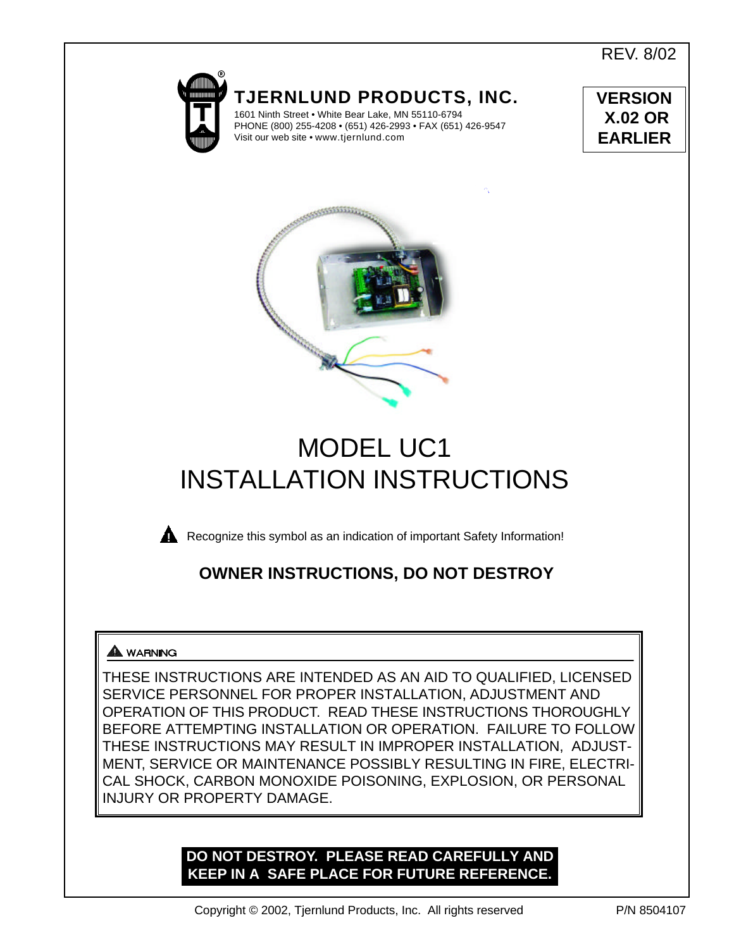REV. 8/02



**TJERNLUND PRODUCTS, INC.** 1601 Ninth Street • White Bear Lake, MN 55110-6794

PHONE (800) 255-4208 • (651) 426-2993 • FAX (651) 426-9547 Visit our web site • www.tjernlund.com





# MODEL UC1 INSTALLATION INSTRUCTIONS



**Recognize this symbol as an indication of important Safety Information!** 

## **OWNER INSTRUCTIONS, DO NOT DESTROY**

### **A** WARNING

THESE INSTRUCTIONS ARE INTENDED AS AN AID TO QUALIFIED, LICENSED SERVICE PERSONNEL FOR PROPER INSTALLATION, ADJUSTMENT AND OPERATION OF THIS PRODUCT. READ THESE INSTRUCTIONS THOROUGHLY BEFORE ATTEMPTING INSTALLATION OR OPERATION. FAILURE TO FOLLOW THESE INSTRUCTIONS MAY RESULT IN IMPROPER INSTALLATION, ADJUST-MENT, SERVICE OR MAINTENANCE POSSIBLY RESULTING IN FIRE, ELECTRI-CAL SHOCK, CARBON MONOXIDE POISONING, EXPLOSION, OR PERSONAL INJURY OR PROPERTY DAMAGE.

### **DO NOT DESTROY. PLEASE READ CAREFULLY AND KEEP IN A SAFE PLACE FOR FUTURE REFERENCE.**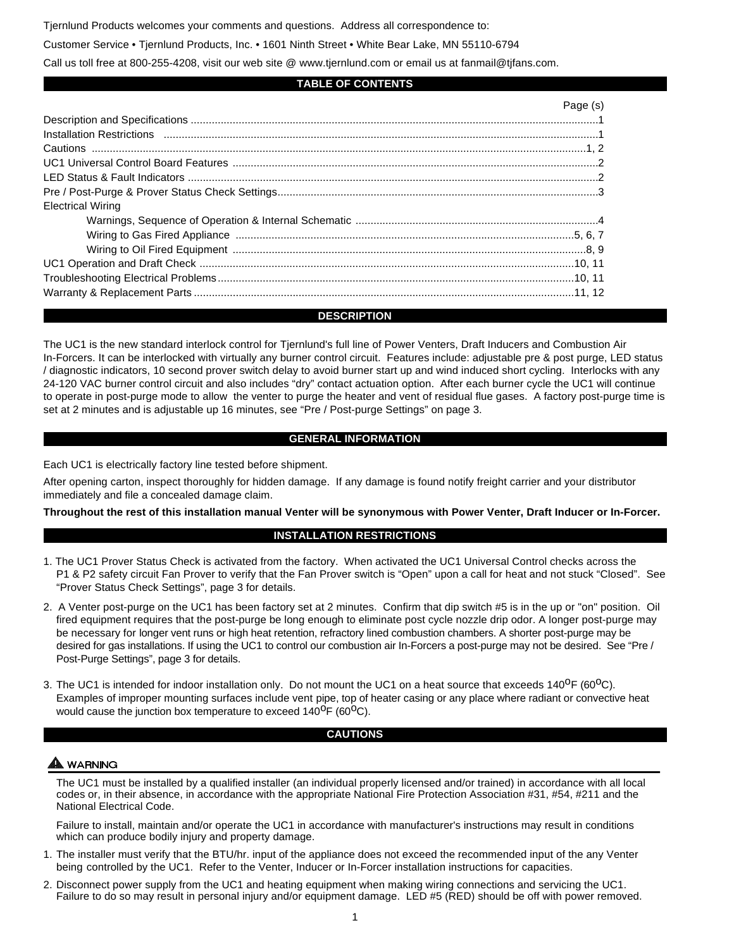Tjernlund Products welcomes your comments and questions. Address all correspondence to:

Customer Service • Tjernlund Products, Inc. • 1601 Ninth Street • White Bear Lake, MN 55110-6794

Call us toll free at 800-255-4208, visit our web site @ www.tjernlund.com or email us at fanmail@tjfans.com.

#### **TABLE OF CONTENTS**

|                          | Page (s) |
|--------------------------|----------|
|                          |          |
|                          |          |
|                          |          |
|                          |          |
|                          |          |
|                          |          |
| <b>Electrical Wiring</b> |          |
|                          |          |
|                          |          |
|                          |          |
|                          |          |
|                          |          |
|                          |          |

#### **DESCRIPTION**

The UC1 is the new standard interlock control for Tjernlund's full line of Power Venters, Draft Inducers and Combustion Air In-Forcers. It can be interlocked with virtually any burner control circuit. Features include: adjustable pre & post purge, LED status / diagnostic indicators, 10 second prover switch delay to avoid burner start up and wind induced short cycling. Interlocks with any 24-120 VAC burner control circuit and also includes "dry" contact actuation option. After each burner cycle the UC1 will continue to operate in post-purge mode to allow the venter to purge the heater and vent of residual flue gases. A factory post-purge time is set at 2 minutes and is adjustable up 16 minutes, see "Pre / Post-purge Settings" on page 3.

#### **GENERAL INFORMATION**

Each UC1 is electrically factory line tested before shipment.

After opening carton, inspect thoroughly for hidden damage. If any damage is found notify freight carrier and your distributor immediately and file a concealed damage claim.

**Throughout the rest of this installation manual Venter will be synonymous with Power Venter, Draft Inducer or In-Forcer.**

#### **INSTALLATION RESTRICTIONS**

- 1. The UC1 Prover Status Check is activated from the factory. When activated the UC1 Universal Control checks across the P1 & P2 safety circuit Fan Prover to verify that the Fan Prover switch is "Open" upon a call for heat and not stuck "Closed". See "Prover Status Check Settings", page 3 for details.
- 2. A Venter post-purge on the UC1 has been factory set at 2 minutes. Confirm that dip switch #5 is in the up or "on" position. Oil fired equipment requires that the post-purge be long enough to eliminate post cycle nozzle drip odor. A longer post-purge may be necessary for longer vent runs or high heat retention, refractory lined combustion chambers. A shorter post-purge may be desired for gas installations. If using the UC1 to control our combustion air In-Forcers a post-purge may not be desired. See "Pre / Post-Purge Settings", page 3 for details.
- 3. The UC1 is intended for indoor installation only. Do not mount the UC1 on a heat source that exceeds  $140^{\circ}F (60^{\circ}C)$ . Examples of improper mounting surfaces include vent pipe, top of heater casing or any place where radiant or convective heat would cause the junction box temperature to exceed  $140^{\circ}F (60^{\circ}C)$ .

#### **CAUTIONS**

#### **WARNING**

The UC1 must be installed by a qualified installer (an individual properly licensed and/or trained) in accordance with all local codes or, in their absence, in accordance with the appropriate National Fire Protection Association #31, #54, #211 and the National Electrical Code.

Failure to install, maintain and/or operate the UC1 in accordance with manufacturer's instructions may result in conditions which can produce bodily injury and property damage.

- 1. The installer must verify that the BTU/hr. input of the appliance does not exceed the recommended input of the any Venter being controlled by the UC1. Refer to the Venter, Inducer or In-Forcer installation instructions for capacities.
- 2. Disconnect power supply from the UC1 and heating equipment when making wiring connections and servicing the UC1. Failure to do so may result in personal injury and/or equipment damage. LED #5 (RED) should be off with power removed.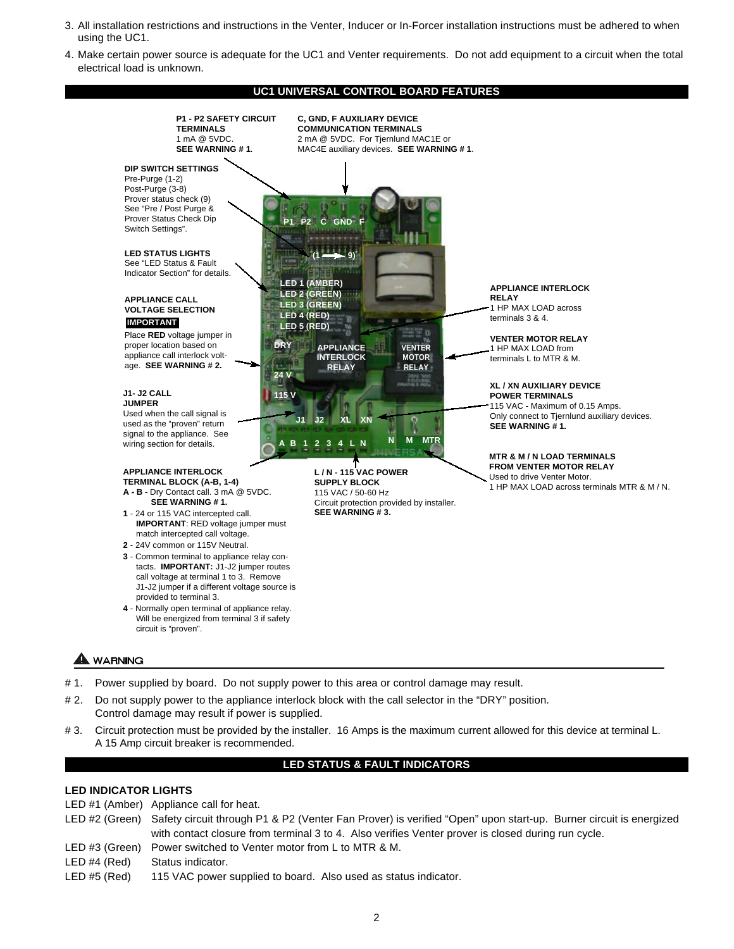- 3. All installation restrictions and instructions in the Venter, Inducer or In-Forcer installation instructions must be adhered to when using the UC1.
- 4. Make certain power source is adequate for the UC1 and Venter requirements. Do not add equipment to a circuit when the total electrical load is unknown.

#### **UC1 UNIVERSAL CONTROL BOARD FEATURES**



- # 1. Power supplied by board. Do not supply power to this area or control damage may result.
- # 2. Do not supply power to the appliance interlock block with the call selector in the "DRY" position. Control damage may result if power is supplied.
- # 3. Circuit protection must be provided by the installer. 16 Amps is the maximum current allowed for this device at terminal L. A 15 Amp circuit breaker is recommended.

#### **LED STATUS & FAULT INDICATORS**

#### **LED INDICATOR LIGHTS**

- LED #1 (Amber) Appliance call for heat.
- LED #2 (Green) Safety circuit through P1 & P2 (Venter Fan Prover) is verified "Open" upon start-up. Burner circuit is energized with contact closure from terminal 3 to 4. Also verifies Venter prover is closed during run cycle.
- LED #3 (Green) Power switched to Venter motor from L to MTR & M.
- LED #4 (Red) Status indicator.
- LED #5 (Red) 115 VAC power supplied to board. Also used as status indicator.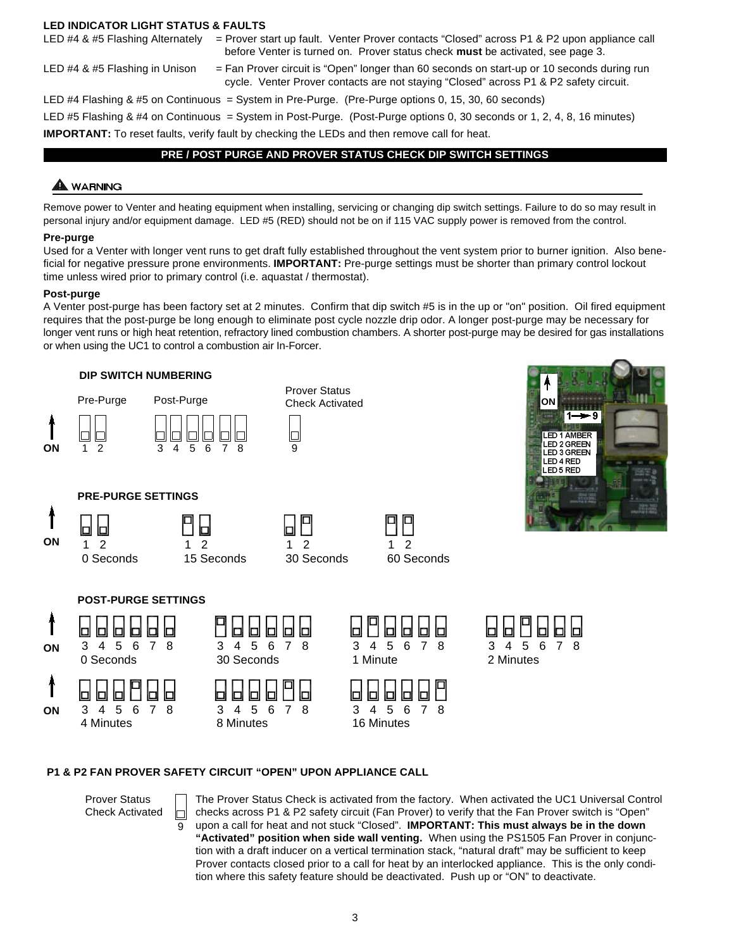#### **LED INDICATOR LIGHT STATUS & FAULTS**

- LED #4 & #5 Flashing Alternately = Prover start up fault. Venter Prover contacts "Closed" across P1 & P2 upon appliance call before Venter is turned on. Prover status check **must** be activated, see page 3.
- 
- LED #4 & #5 Flashing in Unison = Fan Prover circuit is "Open" longer than 60 seconds on start-up or 10 seconds during run cycle. Venter Prover contacts are not staying "Closed" across P1 & P2 safety circuit.

LED #4 Flashing & #5 on Continuous = System in Pre-Purge. (Pre-Purge options 0, 15, 30, 60 seconds) LED #5 Flashing & #4 on Continuous = System in Post-Purge. (Post-Purge options 0, 30 seconds or 1, 2, 4, 8, 16 minutes)

### **IMPORTANT:** To reset faults, verify fault by checking the LEDs and then remove call for heat.

#### **PRE / POST PURGE AND PROVER STATUS CHECK DIP SWITCH SETTINGS**

#### A WARNING

Remove power to Venter and heating equipment when installing, servicing or changing dip switch settings. Failure to do so may result in personal injury and/or equipment damage. LED #5 (RED) should not be on if 115 VAC supply power is removed from the control.

#### **Pre-purge**

Used for a Venter with longer vent runs to get draft fully established throughout the vent system prior to burner ignition. Also beneficial for negative pressure prone environments. **IMPORTANT:** Pre-purge settings must be shorter than primary control lockout time unless wired prior to primary control (i.e. aquastat / thermostat).

#### **Post-purge**

A Venter post-purge has been factory set at 2 minutes. Confirm that dip switch #5 is in the up or "on" position. Oil fired equipment requires that the post-purge be long enough to eliminate post cycle nozzle drip odor. A longer post-purge may be necessary for longer vent runs or high heat retention, refractory lined combustion chambers. A shorter post-purge may be desired for gas installations or when using the UC1 to control a combustion air In-Forcer.



#### **P1 & P2 FAN PROVER SAFETY CIRCUIT "OPEN" UPON APPLIANCE CALL**

Prover Status Check Activated

9

IП

The Prover Status Check is activated from the factory. When activated the UC1 Universal Control checks across P1 & P2 safety circuit (Fan Prover) to verify that the Fan Prover switch is "Open" upon a call for heat and not stuck "Closed". **IMPORTANT: This must always be in the down "Activated" position when side wall venting.** When using the PS1505 Fan Prover in conjunction with a draft inducer on a vertical termination stack, "natural draft" may be sufficient to keep Prover contacts closed prior to a call for heat by an interlocked appliance. This is the only condition where this safety feature should be deactivated. Push up or "ON" to deactivate.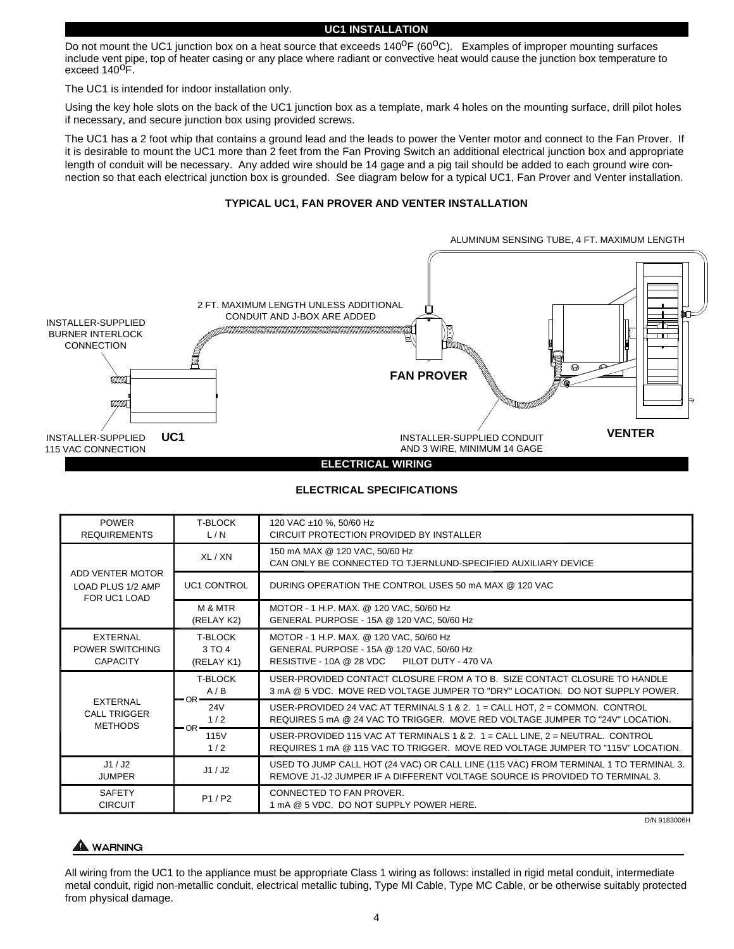#### **UC1 INSTALLATION**

Do not mount the UC1 junction box on a heat source that exceeds 140<sup>o</sup>F (60<sup>o</sup>C). Examples of improper mounting surfaces include vent pipe, top of heater casing or any place where radiant or convective heat would cause the junction box temperature to exceed 140<sup>o</sup>F.

The UC1 is intended for indoor installation only.

Using the key hole slots on the back of the UC1 junction box as a template, mark 4 holes on the mounting surface, drill pilot holes if necessary, and secure junction box using provided screws.

The UC1 has a 2 foot whip that contains a ground lead and the leads to power the Venter motor and connect to the Fan Prover. If it is desirable to mount the UC1 more than 2 feet from the Fan Proving Switch an additional electrical junction box and appropriate length of conduit will be necessary. Any added wire should be 14 gage and a pig tail should be added to each ground wire connection so that each electrical junction box is grounded. See diagram below for a typical UC1, Fan Prover and Venter installation.

#### **TYPICAL UC1, FAN PROVER AND VENTER INSTALLATION**



#### **ELECTRICAL SPECIFICATIONS**

| <b>POWER</b><br><b>REQUIREMENTS</b>                      | <b>T-BLOCK</b><br>L/N                  | 120 VAC ±10 %, 50/60 Hz<br>CIRCUIT PROTECTION PROVIDED BY INSTALLER                                                                                                  |
|----------------------------------------------------------|----------------------------------------|----------------------------------------------------------------------------------------------------------------------------------------------------------------------|
| ADD VENTER MOTOR<br>LOAD PLUS 1/2 AMP<br>FOR UC1 LOAD    | XL / XN                                | 150 mA MAX @ 120 VAC, 50/60 Hz<br>CAN ONLY BE CONNECTED TO TJERNLUND-SPECIFIED AUXILIARY DEVICE                                                                      |
|                                                          | <b>UC1 CONTROL</b>                     | DURING OPERATION THE CONTROL USES 50 mA MAX @ 120 VAC                                                                                                                |
|                                                          | M & MTR<br>(RELAY K2)                  | MOTOR - 1 H.P. MAX. @ 120 VAC, 50/60 Hz<br>GENERAL PURPOSE - 15A @ 120 VAC, 50/60 Hz                                                                                 |
| <b>EXTERNAL</b><br>POWER SWITCHING<br><b>CAPACITY</b>    | <b>T-BLOCK</b><br>3 TO 4<br>(RELAY K1) | MOTOR - 1 H.P. MAX. @ 120 VAC, 50/60 Hz<br>GENERAL PURPOSE - 15A @ 120 VAC, 50/60 Hz<br>RESISTIVE - 10A @ 28 VDC PILOT DUTY - 470 VA                                 |
| <b>EXTERNAL</b><br><b>CALL TRIGGER</b><br><b>METHODS</b> | <b>T-BLOCK</b><br>A/B<br>$-OR-$        | USER-PROVIDED CONTACT CLOSURE FROM A TO B. SIZE CONTACT CLOSURE TO HANDLE<br>3 mA @ 5 VDC. MOVE RED VOLTAGE JUMPER TO "DRY" LOCATION. DO NOT SUPPLY POWER.           |
|                                                          | 24 <sub>V</sub><br>1/2<br>$-OR$ $-$    | USER-PROVIDED 24 VAC AT TERMINALS 1 & 2. $1 =$ CALL HOT, $2 =$ COMMON. CONTROL<br>REQUIRES 5 mA @ 24 VAC TO TRIGGER. MOVE RED VOLTAGE JUMPER TO "24V" LOCATION.      |
|                                                          | 115V<br>1/2                            | USER-PROVIDED 115 VAC AT TERMINALS 1 & 2. 1 = CALL LINE, 2 = NEUTRAL. CONTROL<br>REQUIRES 1 mA @ 115 VAC TO TRIGGER. MOVE RED VOLTAGE JUMPER TO "115V" LOCATION.     |
| J1/J2<br><b>JUMPER</b>                                   | J1/J2                                  | USED TO JUMP CALL HOT (24 VAC) OR CALL LINE (115 VAC) FROM TERMINAL 1 TO TERMINAL 3.<br>REMOVE J1-J2 JUMPER IF A DIFFERENT VOLTAGE SOURCE IS PROVIDED TO TERMINAL 3. |
| <b>SAFETY</b><br><b>CIRCUIT</b>                          | P1/P2                                  | CONNECTED TO FAN PROVER.<br>1 mA @ 5 VDC. DO NOT SUPPLY POWER HERE.                                                                                                  |

D/N 9183006H

### A WARNING

All wiring from the UC1 to the appliance must be appropriate Class 1 wiring as follows: installed in rigid metal conduit, intermediate metal conduit, rigid non-metallic conduit, electrical metallic tubing, Type MI Cable, Type MC Cable, or be otherwise suitably protected from physical damage.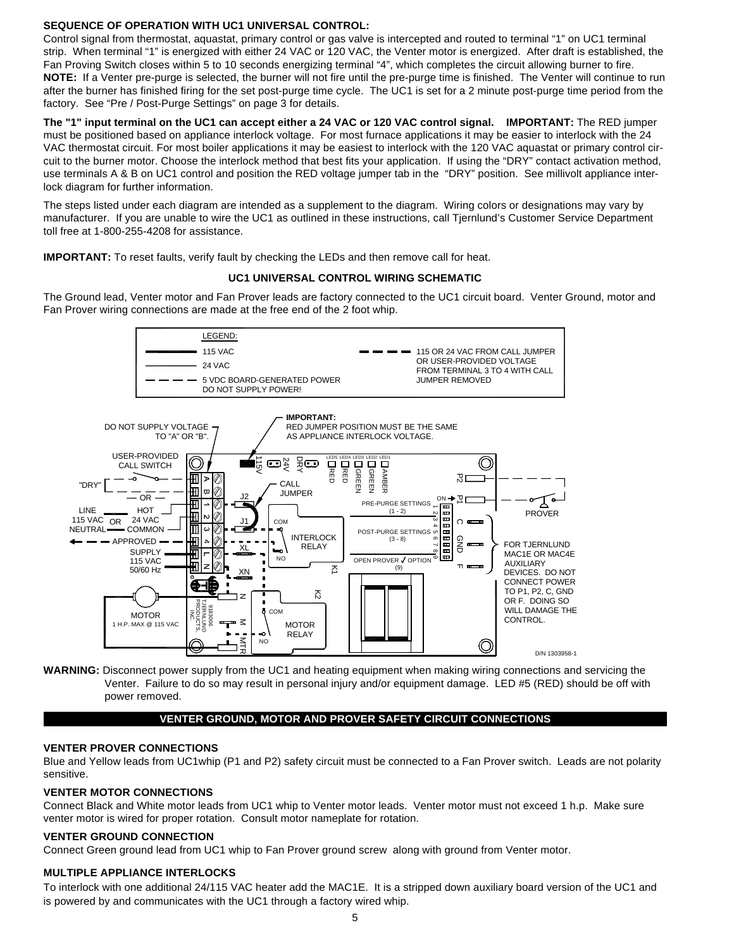#### **SEQUENCE OF OPERATION WITH UC1 UNIVERSAL CONTROL:**

Control signal from thermostat, aquastat, primary control or gas valve is intercepted and routed to terminal "1" on UC1 terminal strip. When terminal "1" is energized with either 24 VAC or 120 VAC, the Venter motor is energized. After draft is established, the Fan Proving Switch closes within 5 to 10 seconds energizing terminal "4", which completes the circuit allowing burner to fire. **NOTE:** If a Venter pre-purge is selected, the burner will not fire until the pre-purge time is finished. The Venter will continue to run after the burner has finished firing for the set post-purge time cycle. The UC1 is set for a 2 minute post-purge time period from the factory. See "Pre / Post-Purge Settings" on page 3 for details.

**The "1" input terminal on the UC1 can accept either a 24 VAC or 120 VAC control signal. IMPORTANT:** The RED jumper must be positioned based on appliance interlock voltage. For most furnace applications it may be easier to interlock with the 24 VAC thermostat circuit. For most boiler applications it may be easiest to interlock with the 120 VAC aquastat or primary control circuit to the burner motor. Choose the interlock method that best fits your application. If using the "DRY" contact activation method, use terminals A & B on UC1 control and position the RED voltage jumper tab in the "DRY" position. See millivolt appliance interlock diagram for further information.

The steps listed under each diagram are intended as a supplement to the diagram. Wiring colors or designations may vary by manufacturer. If you are unable to wire the UC1 as outlined in these instructions, call Tjernlund's Customer Service Department toll free at 1-800-255-4208 for assistance.

**IMPORTANT:** To reset faults, verify fault by checking the LEDs and then remove call for heat.

#### **UC1 UNIVERSAL CONTROL WIRING SCHEMATIC**

The Ground lead, Venter motor and Fan Prover leads are factory connected to the UC1 circuit board. Venter Ground, motor and Fan Prover wiring connections are made at the free end of the 2 foot whip.



**WARNING:** Disconnect power supply from the UC1 and heating equipment when making wiring connections and servicing the Venter. Failure to do so may result in personal injury and/or equipment damage. LED #5 (RED) should be off with power removed.

#### **VENTER GROUND, MOTOR AND PROVER SAFETY CIRCUIT CONNECTIONS**

#### **VENTER PROVER CONNECTIONS**

Blue and Yellow leads from UC1whip (P1 and P2) safety circuit must be connected to a Fan Prover switch. Leads are not polarity sensitive.

#### **VENTER MOTOR CONNECTIONS**

Connect Black and White motor leads from UC1 whip to Venter motor leads. Venter motor must not exceed 1 h.p. Make sure venter motor is wired for proper rotation. Consult motor nameplate for rotation.

#### **VENTER GROUND CONNECTION**

Connect Green ground lead from UC1 whip to Fan Prover ground screw along with ground from Venter motor.

#### **MULTIPLE APPLIANCE INTERLOCKS**

To interlock with one additional 24/115 VAC heater add the MAC1E. It is a stripped down auxiliary board version of the UC1 and is powered by and communicates with the UC1 through a factory wired whip.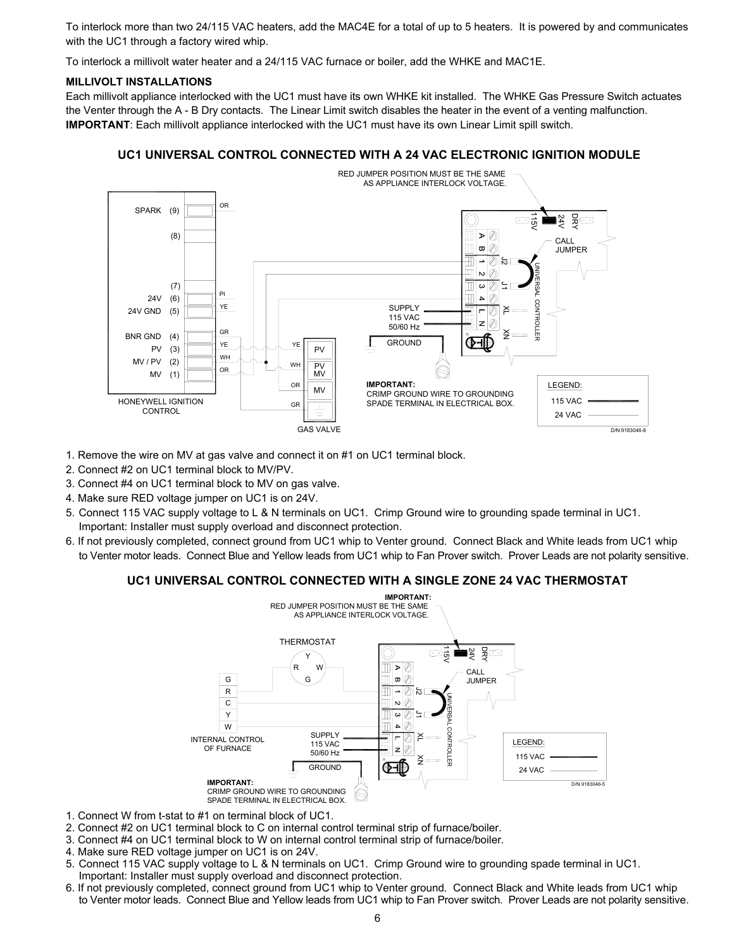To interlock more than two 24/115 VAC heaters, add the MAC4E for a total of up to 5 heaters. It is powered by and communicates with the UC1 through a factory wired whip.

To interlock a millivolt water heater and a 24/115 VAC furnace or boiler, add the WHKE and MAC1E.

#### **MILLIVOLT INSTALLATIONS**

Each millivolt appliance interlocked with the UC1 must have its own WHKE kit installed. The WHKE Gas Pressure Switch actuates the Venter through the A - B Dry contacts. The Linear Limit switch disables the heater in the event of a venting malfunction. **IMPORTANT**: Each millivolt appliance interlocked with the UC1 must have its own Linear Limit spill switch.

#### **UC1 UNIVERSAL CONTROL CONNECTED WITH A 24 VAC ELECTRONIC IGNITION MODULE**



- 1. Remove the wire on MV at gas valve and connect it on #1 on UC1 terminal block.
- 2. Connect #2 on UC1 terminal block to MV/PV.
- 3. Connect #4 on UC1 terminal block to MV on gas valve.
- 4. Make sure RED voltage jumper on UC1 is on 24V.
- 5. Connect 115 VAC supply voltage to L & N terminals on UC1. Crimp Ground wire to grounding spade terminal in UC1. Important: Installer must supply overload and disconnect protection.
- 6. If not previously completed, connect ground from UC1 whip to Venter ground. Connect Black and White leads from UC1 whip to Venter motor leads. Connect Blue and Yellow leads from UC1 whip to Fan Prover switch. Prover Leads are not polarity sensitive.

#### **UC1 UNIVERSAL CONTROL CONNECTED WITH A SINGLE ZONE 24 VAC THERMOSTAT**



- 1. Connect W from t-stat to #1 on terminal block of UC1.
- 2. Connect #2 on UC1 terminal block to C on internal control terminal strip of furnace/boiler.
- 3. Connect #4 on UC1 terminal block to W on internal control terminal strip of furnace/boiler.
- 4. Make sure RED voltage jumper on UC1 is on 24V.
- 5. Connect 115 VAC supply voltage to L & N terminals on UC1. Crimp Ground wire to grounding spade terminal in UC1. Important: Installer must supply overload and disconnect protection.
- 6. If not previously completed, connect ground from UC1 whip to Venter ground. Connect Black and White leads from UC1 whip to Venter motor leads. Connect Blue and Yellow leads from UC1 whip to Fan Prover switch. Prover Leads are not polarity sensitive.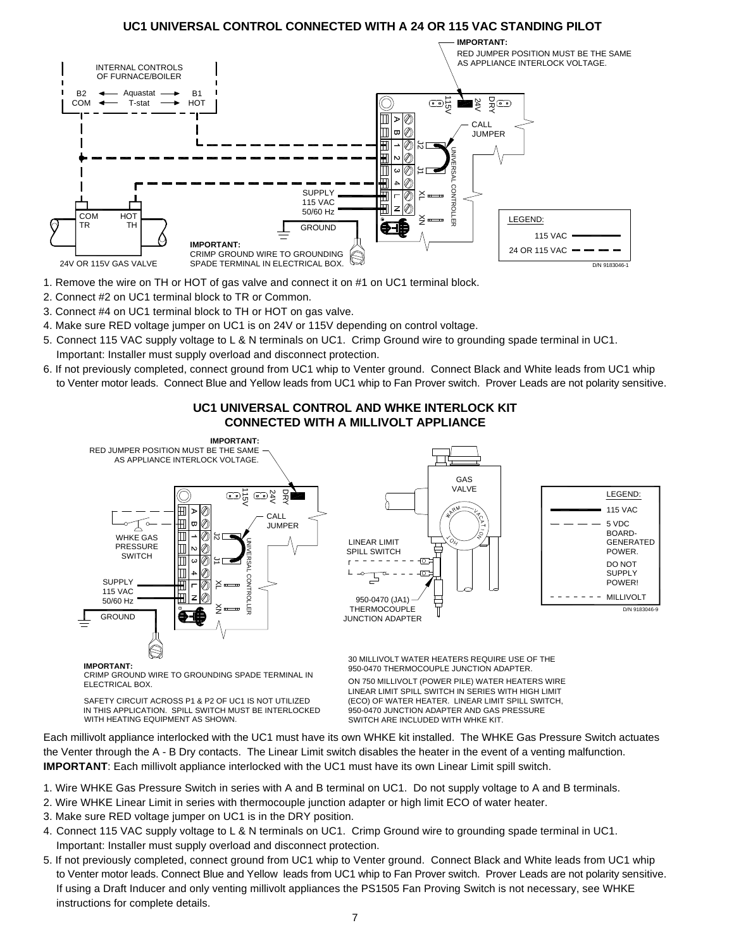#### **UC1 UNIVERSAL CONTROL CONNECTED WITH A 24 OR 115 VAC STANDING PILOT**



- 1. Remove the wire on TH or HOT of gas valve and connect it on #1 on UC1 terminal block.
- 2. Connect #2 on UC1 terminal block to TR or Common.
- 3. Connect #4 on UC1 terminal block to TH or HOT on gas valve.
- 4. Make sure RED voltage jumper on UC1 is on 24V or 115V depending on control voltage.
- 5. Connect 115 VAC supply voltage to L & N terminals on UC1. Crimp Ground wire to grounding spade terminal in UC1. Important: Installer must supply overload and disconnect protection.
- 6. If not previously completed, connect ground from UC1 whip to Venter ground. Connect Black and White leads from UC1 whip to Venter motor leads. Connect Blue and Yellow leads from UC1 whip to Fan Prover switch. Prover Leads are not polarity sensitive.



#### **UC1 UNIVERSAL CONTROL AND WHKE INTERLOCK KIT CONNECTED WITH A MILLIVOLT APPLIANCE**

**IMPORTANT:**

ELECTRICAL BOX. CRIMP GROUND WIRE TO GROUNDING SPADE TERMINAL IN

SAFETY CIRCUIT ACROSS P1 & P2 OF UC1 IS NOT UTILIZED WITH HEATING EQUIPMENT AS SHOWN. IN THIS APPLICATION. SPILL SWITCH MUST BE INTERLOCKED 30 MILLIVOLT WATER HEATERS REQUIRE USE OF THE ON 750 MILLIVOLT (POWER PILE) WATER HEATERS WIRE LINEAR LIMIT SPILL SWITCH IN SERIES WITH HIGH LIMIT 950-0470 THERMOCOUPLE JUNCTION ADAPTER.

(ECO) OF WATER HEATER. LINEAR LIMIT SPILL SWITCH, 950-0470 JUNCTION ADAPTER AND GAS PRESSURE SWITCH ARE INCLUDED WITH WHKE KIT.

Each millivolt appliance interlocked with the UC1 must have its own WHKE kit installed. The WHKE Gas Pressure Switch actuates the Venter through the A - B Dry contacts. The Linear Limit switch disables the heater in the event of a venting malfunction. **IMPORTANT**: Each millivolt appliance interlocked with the UC1 must have its own Linear Limit spill switch.

- 1. Wire WHKE Gas Pressure Switch in series with A and B terminal on UC1. Do not supply voltage to A and B terminals.
- 2. Wire WHKE Linear Limit in series with thermocouple junction adapter or high limit ECO of water heater.
- 3. Make sure RED voltage jumper on UC1 is in the DRY position.
- 4. Connect 115 VAC supply voltage to L & N terminals on UC1. Crimp Ground wire to grounding spade terminal in UC1. Important: Installer must supply overload and disconnect protection.
- 5. If not previously completed, connect ground from UC1 whip to Venter ground. Connect Black and White leads from UC1 whip to Venter motor leads. Connect Blue and Yellow leads from UC1 whip to Fan Prover switch. Prover Leads are not polarity sensitive. If using a Draft Inducer and only venting millivolt appliances the PS1505 Fan Proving Switch is not necessary, see WHKE instructions for complete details.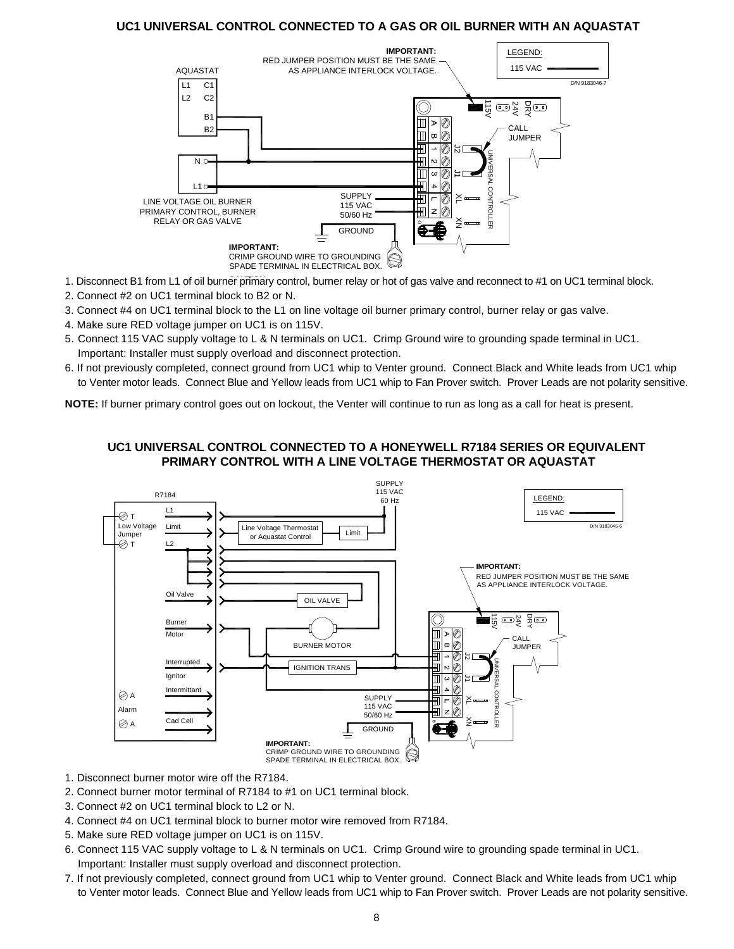#### **UC1 UNIVERSAL CONTROL CONNECTED TO A GAS OR OIL BURNER WITH AN AQUASTAT**



- 1. Disconnect B1 from L1 of oil burner primary control, burner relay or hot of gas valve and reconnect to #1 on UC1 terminal block.
- 2. Connect #2 on UC1 terminal block to B2 or N.
- 3. Connect #4 on UC1 terminal block to the L1 on line voltage oil burner primary control, burner relay or gas valve.
- 4. Make sure RED voltage jumper on UC1 is on 115V.
- 5. Connect 115 VAC supply voltage to L & N terminals on UC1. Crimp Ground wire to grounding spade terminal in UC1. Important: Installer must supply overload and disconnect protection.
- 6. If not previously completed, connect ground from UC1 whip to Venter ground. Connect Black and White leads from UC1 whip to Venter motor leads. Connect Blue and Yellow leads from UC1 whip to Fan Prover switch. Prover Leads are not polarity sensitive.

**NOTE:** If burner primary control goes out on lockout, the Venter will continue to run as long as a call for heat is present.

#### **UC1 UNIVERSAL CONTROL CONNECTED TO A HONEYWELL R7184 SERIES OR EQUIVALENT PRIMARY CONTROL WITH A LINE VOLTAGE THERMOSTAT OR AQUASTAT**



- 1. Disconnect burner motor wire off the R7184.
- 2. Connect burner motor terminal of R7184 to #1 on UC1 terminal block.
- 3. Connect #2 on UC1 terminal block to L2 or N.
- 4. Connect #4 on UC1 terminal block to burner motor wire removed from R7184.
- 5. Make sure RED voltage jumper on UC1 is on 115V.
- 6. Connect 115 VAC supply voltage to L & N terminals on UC1. Crimp Ground wire to grounding spade terminal in UC1. Important: Installer must supply overload and disconnect protection.
- 7. If not previously completed, connect ground from UC1 whip to Venter ground. Connect Black and White leads from UC1 whip to Venter motor leads. Connect Blue and Yellow leads from UC1 whip to Fan Prover switch. Prover Leads are not polarity sensitive.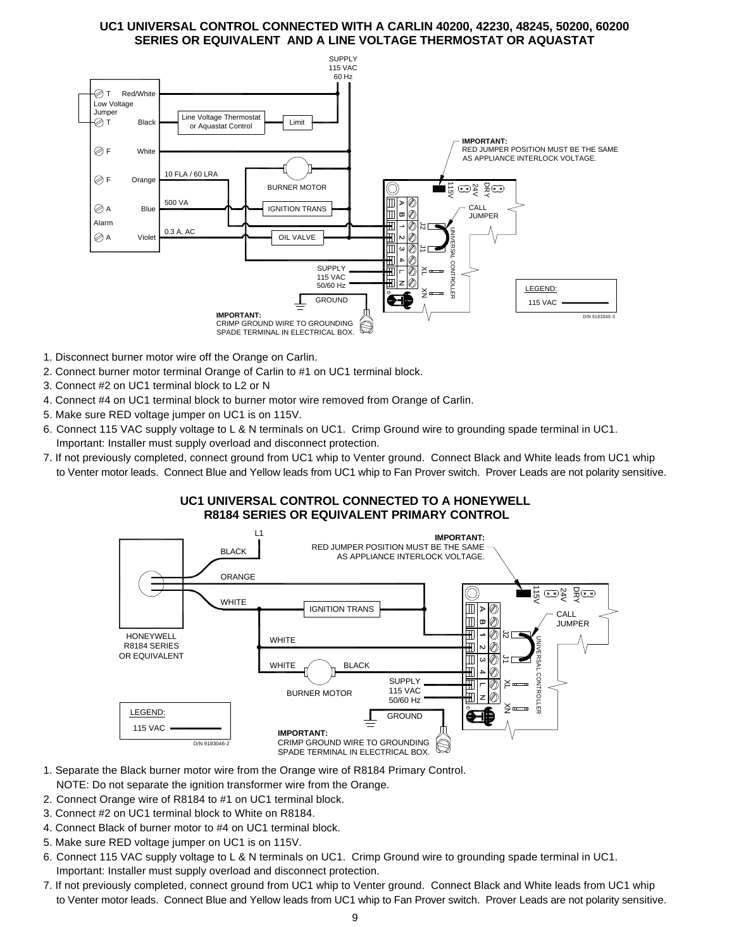#### **UC1 UNIVERSAL CONTROL CONNECTED WITH A CARLIN 40200, 42230, 48245, 50200, 60200 SERIES OR EQUIVALENT AND A LINE VOLTAGE THERMOSTAT OR AQUASTAT**



- 1. Disconnect burner motor wire off the Orange on Carlin.
- 2. Connect burner motor terminal Orange of Carlin to #1 on UC1 terminal block.
- 3. Connect #2 on UC1 terminal block to L2 or N
- 4. Connect #4 on UC1 terminal block to burner motor wire removed from Orange of Carlin.
- 5. Make sure RED voltage jumper on UC1 is on 115V.
- 6. Connect 115 VAC supply voltage to L & N terminals on UC1. Crimp Ground wire to grounding spade terminal in UC1. Important: Installer must supply overload and disconnect protection.
- 7. If not previously completed, connect ground from UC1 whip to Venter ground. Connect Black and White leads from UC1 whip to Venter motor leads. Connect Blue and Yellow leads from UC1 whip to Fan Prover switch. Prover Leads are not polarity sensitive.

#### **UC1 UNIVERSAL CONTROL CONNECTED TO A HONEYWELL R8184 SERIES OR EQUIVALENT PRIMARY CONTROL**



- 1. Separate the Black burner motor wire from the Orange wire of R8184 Primary Control.
- NOTE: Do not separate the ignition transformer wire from the Orange.
- 2. Connect Orange wire of R8184 to #1 on UC1 terminal block.
- 3. Connect #2 on UC1 terminal block to White on R8184.
- 4. Connect Black of burner motor to #4 on UC1 terminal block.
- 5. Make sure RED voltage jumper on UC1 is on 115V.
- 6. Connect 115 VAC supply voltage to L & N terminals on UC1. Crimp Ground wire to grounding spade terminal in UC1. Important: Installer must supply overload and disconnect protection.
- 7. If not previously completed, connect ground from UC1 whip to Venter ground. Connect Black and White leads from UC1 whip to Venter motor leads. Connect Blue and Yellow leads from UC1 whip to Fan Prover switch. Prover Leads are not polarity sensitive.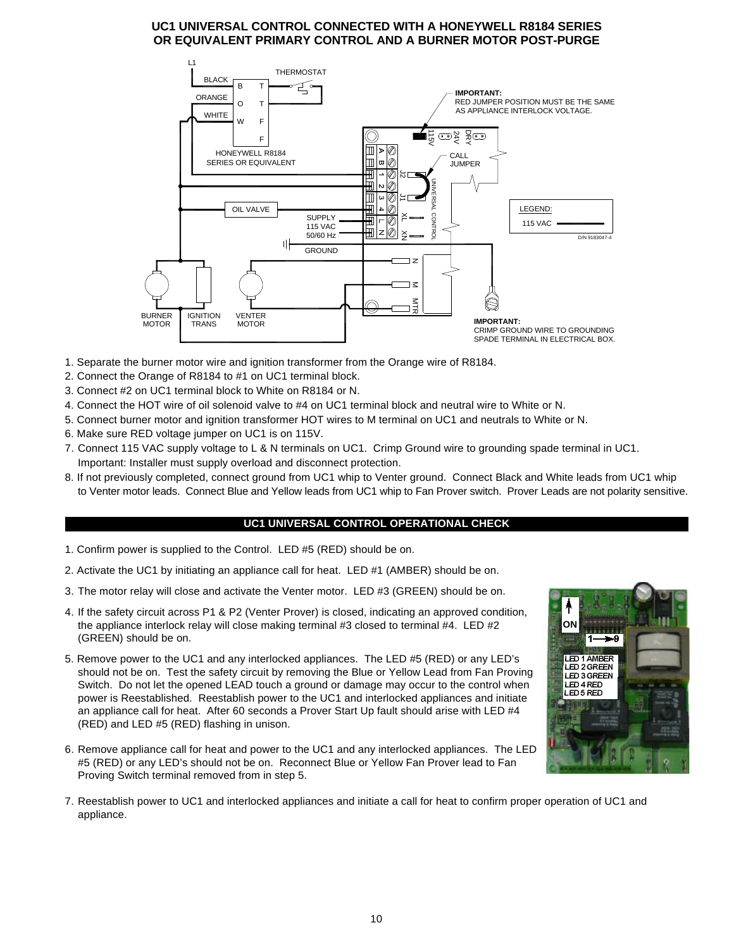#### **UC1 UNIVERSAL CONTROL CONNECTED WITH A HONEYWELL R8184 SERIES OR EQUIVALENT PRIMARY CONTROL AND A BURNER MOTOR POST-PURGE**



- 1. Separate the burner motor wire and ignition transformer from the Orange wire of R8184.
- 2. Connect the Orange of R8184 to #1 on UC1 terminal block.
- 3. Connect #2 on UC1 terminal block to White on R8184 or N.
- 4. Connect the HOT wire of oil solenoid valve to #4 on UC1 terminal block and neutral wire to White or N.
- 5. Connect burner motor and ignition transformer HOT wires to M terminal on UC1 and neutrals to White or N.
- 6. Make sure RED voltage jumper on UC1 is on 115V.
- 7. Connect 115 VAC supply voltage to L & N terminals on UC1. Crimp Ground wire to grounding spade terminal in UC1. Important: Installer must supply overload and disconnect protection.
- 8. If not previously completed, connect ground from UC1 whip to Venter ground. Connect Black and White leads from UC1 whip to Venter motor leads. Connect Blue and Yellow leads from UC1 whip to Fan Prover switch. Prover Leads are not polarity sensitive.

#### **UC1 UNIVERSAL CONTROL OPERATIONAL CHECK**

- 1. Confirm power is supplied to the Control. LED #5 (RED) should be on.
- 2. Activate the UC1 by initiating an appliance call for heat. LED #1 (AMBER) should be on.
- 3. The motor relay will close and activate the Venter motor. LED #3 (GREEN) should be on.
- 4. If the safety circuit across P1 & P2 (Venter Prover) is closed, indicating an approved condition, the appliance interlock relay will close making terminal #3 closed to terminal #4. LED #2 (GREEN) should be on.
- 5. Remove power to the UC1 and any interlocked appliances. The LED #5 (RED) or any LED's should not be on. Test the safety circuit by removing the Blue or Yellow Lead from Fan Proving Switch. Do not let the opened LEAD touch a ground or damage may occur to the control when power is Reestablished. Reestablish power to the UC1 and interlocked appliances and initiate an appliance call for heat. After 60 seconds a Prover Start Up fault should arise with LED #4 (RED) and LED #5 (RED) flashing in unison.
- 6. Remove appliance call for heat and power to the UC1 and any interlocked appliances. The LED #5 (RED) or any LED's should not be on. Reconnect Blue or Yellow Fan Prover lead to Fan Proving Switch terminal removed from in step 5.



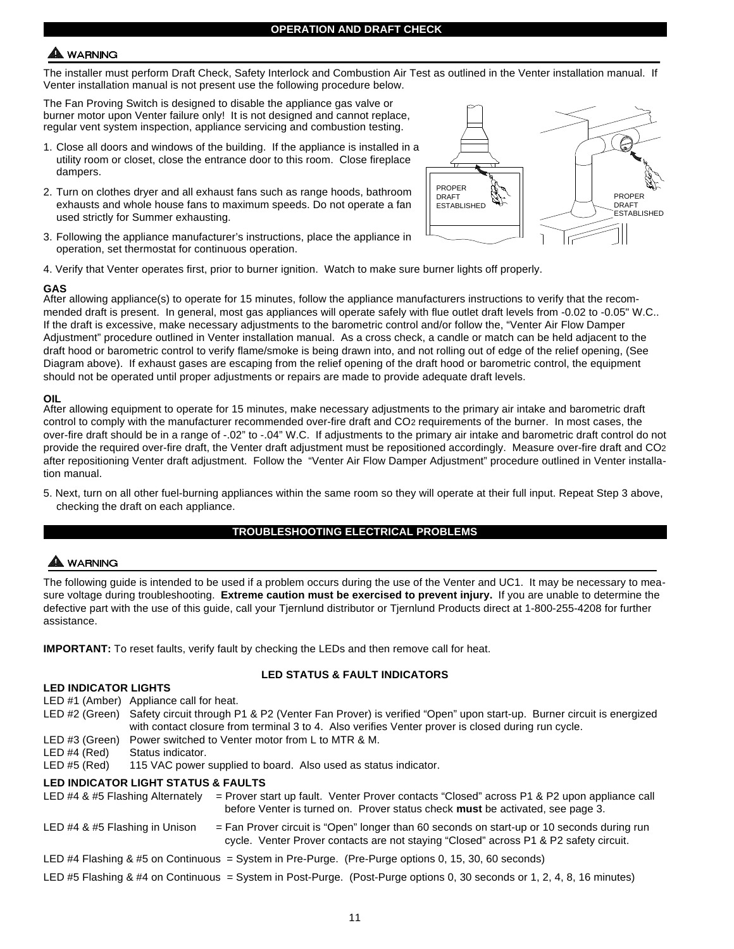### **WARNING**

The installer must perform Draft Check, Safety Interlock and Combustion Air Test as outlined in the Venter installation manual. If Venter installation manual is not present use the following procedure below.

The Fan Proving Switch is designed to disable the appliance gas valve or burner motor upon Venter failure only! It is not designed and cannot replace, regular vent system inspection, appliance servicing and combustion testing.

- 1. Close all doors and windows of the building. If the appliance is installed in a utility room or closet, close the entrance door to this room. Close fireplace dampers.
- 2. Turn on clothes dryer and all exhaust fans such as range hoods, bathroom exhausts and whole house fans to maximum speeds. Do not operate a fan used strictly for Summer exhausting.
- 3. Following the appliance manufacturer's instructions, place the appliance in operation, set thermostat for continuous operation.



4. Verify that Venter operates first, prior to burner ignition. Watch to make sure burner lights off properly.

#### **GAS**

After allowing appliance(s) to operate for 15 minutes, follow the appliance manufacturers instructions to verify that the recommended draft is present. In general, most gas appliances will operate safely with flue outlet draft levels from -0.02 to -0.05" W.C.. If the draft is excessive, make necessary adjustments to the barometric control and/or follow the, "Venter Air Flow Damper Adjustment" procedure outlined in Venter installation manual. As a cross check, a candle or match can be held adjacent to the draft hood or barometric control to verify flame/smoke is being drawn into, and not rolling out of edge of the relief opening, (See Diagram above). If exhaust gases are escaping from the relief opening of the draft hood or barometric control, the equipment should not be operated until proper adjustments or repairs are made to provide adequate draft levels.

#### **OIL**

After allowing equipment to operate for 15 minutes, make necessary adjustments to the primary air intake and barometric draft control to comply with the manufacturer recommended over-fire draft and CO2 requirements of the burner. In most cases, the over-fire draft should be in a range of -.02" to -.04" W.C. If adjustments to the primary air intake and barometric draft control do not provide the required over-fire draft, the Venter draft adjustment must be repositioned accordingly. Measure over-fire draft and CO2 after repositioning Venter draft adjustment. Follow the "Venter Air Flow Damper Adjustment" procedure outlined in Venter installation manual.

5. Next, turn on all other fuel-burning appliances within the same room so they will operate at their full input. Repeat Step 3 above, checking the draft on each appliance.

#### **TROUBLESHOOTING ELECTRICAL PROBLEMS**

### A WARNING

The following guide is intended to be used if a problem occurs during the use of the Venter and UC1. It may be necessary to measure voltage during troubleshooting. **Extreme caution must be exercised to prevent injury.** If you are unable to determine the defective part with the use of this guide, call your Tjernlund distributor or Tjernlund Products direct at 1-800-255-4208 for further assistance.

**IMPORTANT:** To reset faults, verify fault by checking the LEDs and then remove call for heat.

#### **LED INDICATOR LIGHTS**

#### **LED STATUS & FAULT INDICATORS**

| LED INDIGATOR LIGHTS             |                                                                                                                                                                                                                                       |
|----------------------------------|---------------------------------------------------------------------------------------------------------------------------------------------------------------------------------------------------------------------------------------|
|                                  | LED #1 (Amber) Appliance call for heat.                                                                                                                                                                                               |
|                                  | LED #2 (Green) Safety circuit through P1 & P2 (Venter Fan Prover) is verified "Open" upon start-up. Burner circuit is energized<br>with contact closure from terminal 3 to 4. Also verifies Venter prover is closed during run cycle. |
| LED#3 (Green)                    | Power switched to Venter motor from L to MTR & M.                                                                                                                                                                                     |
| LED #4 (Red)                     | Status indicator.                                                                                                                                                                                                                     |
| LED #5 (Red)                     | 115 VAC power supplied to board. Also used as status indicator.                                                                                                                                                                       |
|                                  | <b>LED INDICATOR LIGHT STATUS &amp; FAULTS</b>                                                                                                                                                                                        |
| LED #4 & #5 Flashing Alternately | $=$ Prover start up fault. Venter Prover contacts "Closed" across P1 & P2 upon appliance call<br>before Venter is turned on. Prover status check must be activated, see page 3.                                                       |
| LED #4 & #5 Flashing in Unison   | $=$ Fan Prover circuit is "Open" longer than 60 seconds on start-up or 10 seconds during run<br>cycle. Venter Prover contacts are not staying "Closed" across P1 & P2 safety circuit.                                                 |
|                                  | $\Gamma$ ED 44 Flacking $0$ 45 on Operincial of Outlookin Dis During (Dis During ontique 0, 45, 30, 60 operate).                                                                                                                      |

- LED #4 Flashing & #5 on Continuous = System in Pre-Purge. (Pre-Purge options 0, 15, 30, 60 seconds)
- LED #5 Flashing & #4 on Continuous = System in Post-Purge. (Post-Purge options 0, 30 seconds or 1, 2, 4, 8, 16 minutes)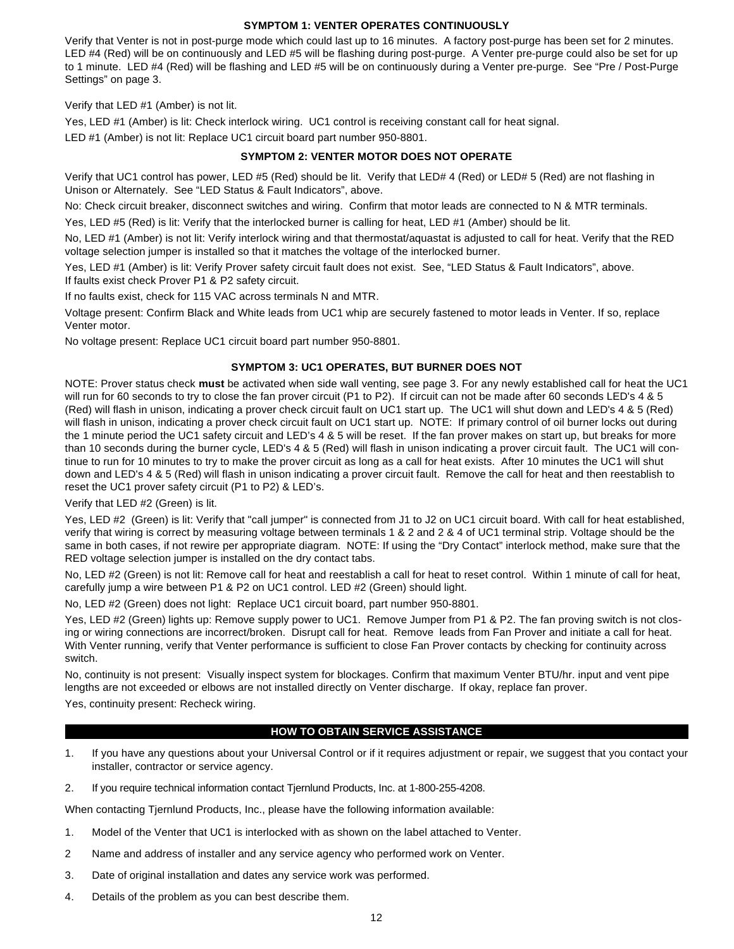#### **SYMPTOM 1: VENTER OPERATES CONTINUOUSLY**

Verify that Venter is not in post-purge mode which could last up to 16 minutes. A factory post-purge has been set for 2 minutes. LED #4 (Red) will be on continuously and LED #5 will be flashing during post-purge. A Venter pre-purge could also be set for up to 1 minute. LED #4 (Red) will be flashing and LED #5 will be on continuously during a Venter pre-purge. See "Pre / Post-Purge Settings" on page 3.

Verify that LED #1 (Amber) is not lit.

Yes, LED #1 (Amber) is lit: Check interlock wiring. UC1 control is receiving constant call for heat signal.

LED #1 (Amber) is not lit: Replace UC1 circuit board part number 950-8801.

#### **SYMPTOM 2: VENTER MOTOR DOES NOT OPERATE**

Verify that UC1 control has power, LED #5 (Red) should be lit. Verify that LED# 4 (Red) or LED# 5 (Red) are not flashing in Unison or Alternately. See "LED Status & Fault Indicators", above.

No: Check circuit breaker, disconnect switches and wiring. Confirm that motor leads are connected to N & MTR terminals.

Yes, LED #5 (Red) is lit: Verify that the interlocked burner is calling for heat, LED #1 (Amber) should be lit.

No, LED #1 (Amber) is not lit: Verify interlock wiring and that thermostat/aquastat is adjusted to call for heat. Verify that the RED voltage selection jumper is installed so that it matches the voltage of the interlocked burner.

Yes, LED #1 (Amber) is lit: Verify Prover safety circuit fault does not exist. See, "LED Status & Fault Indicators", above. If faults exist check Prover P1 & P2 safety circuit.

If no faults exist, check for 115 VAC across terminals N and MTR.

Voltage present: Confirm Black and White leads from UC1 whip are securely fastened to motor leads in Venter. If so, replace Venter motor.

No voltage present: Replace UC1 circuit board part number 950-8801.

#### **SYMPTOM 3: UC1 OPERATES, BUT BURNER DOES NOT**

NOTE: Prover status check **must** be activated when side wall venting, see page 3. For any newly established call for heat the UC1 will run for 60 seconds to try to close the fan prover circuit (P1 to P2). If circuit can not be made after 60 seconds LED's 4 & 5 (Red) will flash in unison, indicating a prover check circuit fault on UC1 start up. The UC1 will shut down and LED's 4 & 5 (Red) will flash in unison, indicating a prover check circuit fault on UC1 start up. NOTE: If primary control of oil burner locks out during the 1 minute period the UC1 safety circuit and LED's 4 & 5 will be reset. If the fan prover makes on start up, but breaks for more than 10 seconds during the burner cycle, LED's 4 & 5 (Red) will flash in unison indicating a prover circuit fault. The UC1 will continue to run for 10 minutes to try to make the prover circuit as long as a call for heat exists. After 10 minutes the UC1 will shut down and LED's 4 & 5 (Red) will flash in unison indicating a prover circuit fault. Remove the call for heat and then reestablish to reset the UC1 prover safety circuit (P1 to P2) & LED's.

Verify that LED #2 (Green) is lit.

Yes, LED #2 (Green) is lit: Verify that "call jumper" is connected from J1 to J2 on UC1 circuit board. With call for heat established, verify that wiring is correct by measuring voltage between terminals 1 & 2 and 2 & 4 of UC1 terminal strip. Voltage should be the same in both cases, if not rewire per appropriate diagram. NOTE: If using the "Dry Contact" interlock method, make sure that the RED voltage selection jumper is installed on the dry contact tabs.

No, LED #2 (Green) is not lit: Remove call for heat and reestablish a call for heat to reset control. Within 1 minute of call for heat, carefully jump a wire between P1 & P2 on UC1 control. LED #2 (Green) should light.

No, LED #2 (Green) does not light: Replace UC1 circuit board, part number 950-8801.

Yes, LED #2 (Green) lights up: Remove supply power to UC1. Remove Jumper from P1 & P2. The fan proving switch is not closing or wiring connections are incorrect/broken. Disrupt call for heat. Remove leads from Fan Prover and initiate a call for heat. With Venter running, verify that Venter performance is sufficient to close Fan Prover contacts by checking for continuity across switch.

No, continuity is not present: Visually inspect system for blockages. Confirm that maximum Venter BTU/hr. input and vent pipe lengths are not exceeded or elbows are not installed directly on Venter discharge. If okay, replace fan prover.

Yes, continuity present: Recheck wiring.

#### **HOW TO OBTAIN SERVICE ASSISTANCE**

- 1. If you have any questions about your Universal Control or if it requires adjustment or repair, we suggest that you contact your installer, contractor or service agency.
- 2. If you require technical information contact Tjernlund Products, Inc. at 1-800-255-4208.

When contacting Tjernlund Products, Inc., please have the following information available:

- 1. Model of the Venter that UC1 is interlocked with as shown on the label attached to Venter.
- 2 Name and address of installer and any service agency who performed work on Venter.
- 3. Date of original installation and dates any service work was performed.
- 4. Details of the problem as you can best describe them.